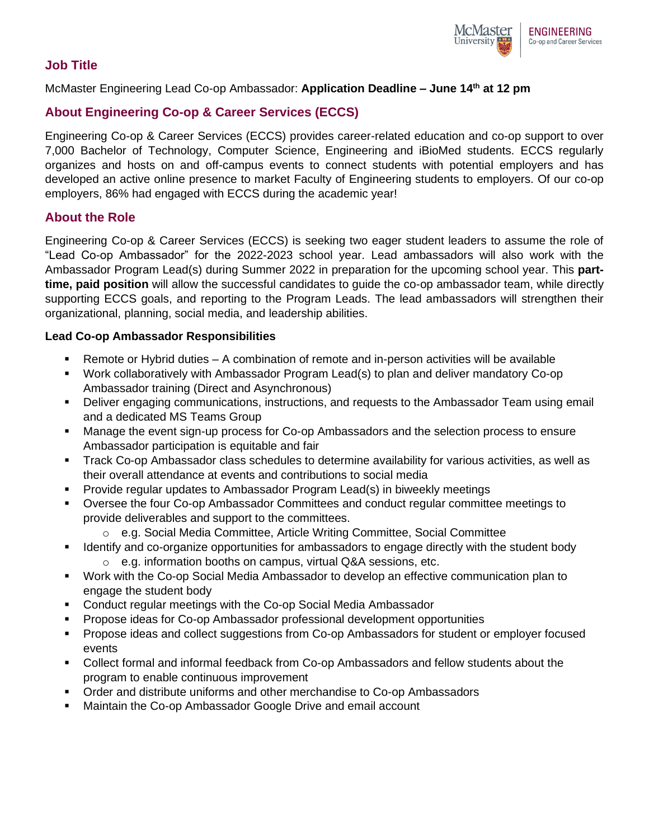

## **Job Title**

#### McMaster Engineering Lead Co-op Ambassador: **Application Deadline – June 14th at 12 pm**

# **About Engineering Co-op & Career Services (ECCS)**

Engineering Co-op & Career Services (ECCS) provides career-related education and co-op support to over 7,000 Bachelor of Technology, Computer Science, Engineering and iBioMed students. ECCS regularly organizes and hosts on and off-campus events to connect students with potential employers and has developed an active online presence to market Faculty of Engineering students to employers. Of our co-op employers, 86% had engaged with ECCS during the academic year!

## **About the Role**

Engineering Co-op & Career Services (ECCS) is seeking two eager student leaders to assume the role of "Lead Co-op Ambassador" for the 2022-2023 school year. Lead ambassadors will also work with the Ambassador Program Lead(s) during Summer 2022 in preparation for the upcoming school year. This **parttime, paid position** will allow the successful candidates to guide the co-op ambassador team, while directly supporting ECCS goals, and reporting to the Program Leads. The lead ambassadors will strengthen their organizational, planning, social media, and leadership abilities.

#### **Lead Co-op Ambassador Responsibilities**

- Remote or Hybrid duties A combination of remote and in-person activities will be available
- Work collaboratively with Ambassador Program Lead(s) to plan and deliver mandatory Co-op Ambassador training (Direct and Asynchronous)
- Deliver engaging communications, instructions, and requests to the Ambassador Team using email and a dedicated MS Teams Group
- Manage the event sign-up process for Co-op Ambassadors and the selection process to ensure Ambassador participation is equitable and fair
- **Track Co-op Ambassador class schedules to determine availability for various activities, as well as** their overall attendance at events and contributions to social media
- **Provide regular updates to Ambassador Program Lead(s) in biweekly meetings**
- Oversee the four Co-op Ambassador Committees and conduct regular committee meetings to provide deliverables and support to the committees.
	- o e.g. Social Media Committee, Article Writing Committee, Social Committee
- **EXECT** Identify and co-organize opportunities for ambassadors to engage directly with the student body o e.g. information booths on campus, virtual Q&A sessions, etc.
- Work with the Co-op Social Media Ambassador to develop an effective communication plan to engage the student body
- Conduct regular meetings with the Co-op Social Media Ambassador
- Propose ideas for Co-op Ambassador professional development opportunities
- Propose ideas and collect suggestions from Co-op Ambassadors for student or employer focused events
- Collect formal and informal feedback from Co-op Ambassadors and fellow students about the program to enable continuous improvement
- Order and distribute uniforms and other merchandise to Co-op Ambassadors
- Maintain the Co-op Ambassador Google Drive and email account